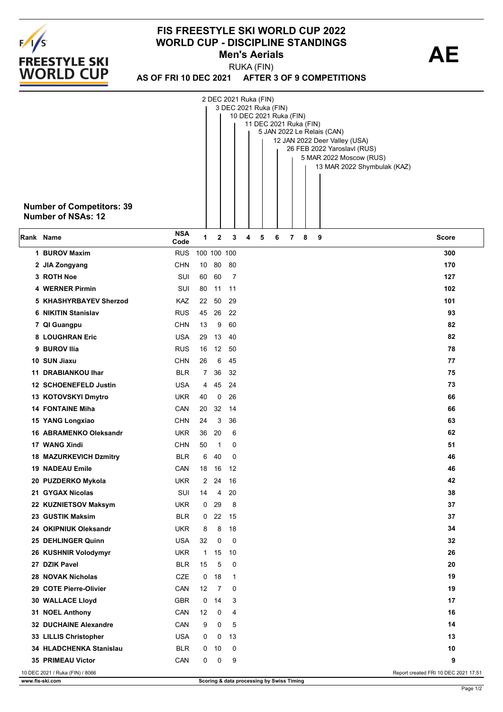

## **FIS FREESTYLE SKI WORLD CUP 2022 WORLD CUP - DISCIPLINE STANDINGS<br>Men's Aerials Action AE Men's Aerials**

**AS OF FRI 10 DEC 2021 AFTER 3 OF 9 COMPETITIONS** RUKA (FIN)

|                                  |                                                                                       |              |              | 2 DEC 2021 Ruka (FIN)                     |                        |   |   |   |  |   |                                                        |                                      |
|----------------------------------|---------------------------------------------------------------------------------------|--------------|--------------|-------------------------------------------|------------------------|---|---|---|--|---|--------------------------------------------------------|--------------------------------------|
|                                  |                                                                                       |              |              | 3 DEC 2021 Ruka (FIN)                     |                        |   |   |   |  |   |                                                        |                                      |
|                                  |                                                                                       |              |              |                                           | 10 DEC 2021 Ruka (FIN) |   |   |   |  |   |                                                        |                                      |
|                                  | 11 DEC 2021 Ruka (FIN)<br>5 JAN 2022 Le Relais (CAN)<br>12 JAN 2022 Deer Valley (USA) |              |              |                                           |                        |   |   |   |  |   |                                                        |                                      |
|                                  |                                                                                       |              |              |                                           |                        |   |   |   |  |   |                                                        |                                      |
|                                  |                                                                                       |              |              |                                           |                        |   |   |   |  |   | 26 FEB 2022 Yaroslavl (RUS)<br>5 MAR 2022 Moscow (RUS) |                                      |
|                                  |                                                                                       |              |              |                                           |                        |   |   |   |  |   | 13 MAR 2022 Shymbulak (KAZ)                            |                                      |
|                                  |                                                                                       |              |              |                                           |                        |   |   |   |  |   |                                                        |                                      |
|                                  |                                                                                       |              |              |                                           |                        |   |   |   |  |   |                                                        |                                      |
|                                  |                                                                                       |              |              |                                           |                        |   |   |   |  |   |                                                        |                                      |
| <b>Number of Competitors: 39</b> |                                                                                       |              |              |                                           |                        |   |   |   |  |   |                                                        |                                      |
| <b>Number of NSAs: 12</b>        |                                                                                       |              |              |                                           |                        |   |   |   |  |   |                                                        |                                      |
|                                  | <b>NSA</b>                                                                            |              |              |                                           |                        |   |   |   |  |   |                                                        |                                      |
| Rank Name                        | Code                                                                                  | 1            | $\mathbf{2}$ | 3                                         | 4                      | 5 | 6 | 7 |  | 8 | 9                                                      | <b>Score</b>                         |
| 1 BUROV Maxim                    | <b>RUS</b>                                                                            | 100 100 100  |              |                                           |                        |   |   |   |  |   |                                                        | 300                                  |
| 2 JIA Zongyang                   | <b>CHN</b>                                                                            | 10           | 80           | 80                                        |                        |   |   |   |  |   |                                                        | 170                                  |
| 3 ROTH Noe                       | SUI                                                                                   | 60           | 60           | 7                                         |                        |   |   |   |  |   |                                                        | 127                                  |
| <b>4 WERNER Pirmin</b>           | SUI                                                                                   | 80           | 11           | 11                                        |                        |   |   |   |  |   |                                                        | 102                                  |
| 5 KHASHYRBAYEV Sherzod           | KAZ                                                                                   | 22           | 50           | 29                                        |                        |   |   |   |  |   |                                                        | 101                                  |
| 6 NIKITIN Stanislav              | <b>RUS</b>                                                                            | 45           | 26           | 22                                        |                        |   |   |   |  |   |                                                        | 93                                   |
| 7 QI Guangpu                     | <b>CHN</b>                                                                            | 13           | 9            | 60                                        |                        |   |   |   |  |   |                                                        | 82                                   |
| 8 LOUGHRAN Eric                  | <b>USA</b>                                                                            | 29           | 13           | 40                                        |                        |   |   |   |  |   |                                                        | 82                                   |
| 9 BUROV Ilia                     | <b>RUS</b>                                                                            | 16           | 12           | 50                                        |                        |   |   |   |  |   |                                                        | 78                                   |
| 10 SUN Jiaxu                     | <b>CHN</b>                                                                            | 26           | 6            | 45                                        |                        |   |   |   |  |   |                                                        | 77                                   |
| 11 DRABIANKOU Ihar               | <b>BLR</b>                                                                            | $\mathbf{7}$ | 36           | 32                                        |                        |   |   |   |  |   |                                                        | 75                                   |
| 12 SCHOENEFELD Justin            | <b>USA</b>                                                                            | 4            | 45           | 24                                        |                        |   |   |   |  |   |                                                        | 73                                   |
| 13 KOTOVSKYI Dmytro              | <b>UKR</b>                                                                            | 40           | 0            | 26                                        |                        |   |   |   |  |   |                                                        | 66                                   |
| <b>14 FONTAINE Miha</b>          | CAN                                                                                   | 20           | 32           | -14                                       |                        |   |   |   |  |   |                                                        | 66                                   |
| 15 YANG Longxiao                 | <b>CHN</b>                                                                            | 24           | 3            | 36                                        |                        |   |   |   |  |   |                                                        | 63                                   |
| <b>16 ABRAMENKO Oleksandr</b>    | <b>UKR</b>                                                                            | 36           | 20           | 6                                         |                        |   |   |   |  |   |                                                        | 62                                   |
| 17 WANG Xindi                    | <b>CHN</b>                                                                            | 50           | 1            | 0                                         |                        |   |   |   |  |   |                                                        | 51                                   |
|                                  |                                                                                       |              |              |                                           |                        |   |   |   |  |   |                                                        | 46                                   |
| <b>18 MAZURKEVICH Dzmitry</b>    | <b>BLR</b>                                                                            | 6            | 40           | 0                                         |                        |   |   |   |  |   |                                                        |                                      |
| <b>19 NADEAU Emile</b>           | CAN                                                                                   |              | 18 16        | - 12                                      |                        |   |   |   |  |   |                                                        | 46                                   |
| 20 PUZDERKO Mykola               | <b>UKR</b>                                                                            | 2            | 24           | 16                                        |                        |   |   |   |  |   |                                                        | 42                                   |
| 21 GYGAX Nicolas                 | SUI                                                                                   | 14           | 4            | 20                                        |                        |   |   |   |  |   |                                                        | 38                                   |
| 22 KUZNIETSOV Maksym             | <b>UKR</b>                                                                            | 0            | 29           | 8                                         |                        |   |   |   |  |   |                                                        | 37                                   |
| 23 GUSTIK Maksim                 | <b>BLR</b>                                                                            | 0            | 22           | 15                                        |                        |   |   |   |  |   |                                                        | 37                                   |
| 24 OKIPNIUK Oleksandr            | <b>UKR</b>                                                                            | 8            | 8            | 18                                        |                        |   |   |   |  |   |                                                        | 34                                   |
| 25 DEHLINGER Quinn               | <b>USA</b>                                                                            | 32           | 0            | 0                                         |                        |   |   |   |  |   |                                                        | 32                                   |
| 26 KUSHNIR Volodymyr             | UKR.                                                                                  | 1            | 15           | 10                                        |                        |   |   |   |  |   |                                                        | 26                                   |
| 27 DZIK Pavel                    | <b>BLR</b>                                                                            | 15           | 5            | 0                                         |                        |   |   |   |  |   |                                                        | 20                                   |
| 28 NOVAK Nicholas                | CZE                                                                                   | 0            | 18           | 1                                         |                        |   |   |   |  |   |                                                        | 19                                   |
| 29 COTE Pierre-Olivier           | CAN                                                                                   | 12           | 7            | 0                                         |                        |   |   |   |  |   |                                                        | 19                                   |
| 30 WALLACE Lloyd                 | <b>GBR</b>                                                                            | 0            | 14           | 3                                         |                        |   |   |   |  |   |                                                        | 17                                   |
| 31 NOEL Anthony                  | CAN                                                                                   | 12           | 0            | 4                                         |                        |   |   |   |  |   |                                                        | 16                                   |
| <b>32 DUCHAINE Alexandre</b>     | CAN                                                                                   | 9            | 0            | 5                                         |                        |   |   |   |  |   |                                                        | 14                                   |
| 33 LILLIS Christopher            | <b>USA</b>                                                                            | 0            | 0            | 13                                        |                        |   |   |   |  |   |                                                        | 13                                   |
| 34 HLADCHENKA Stanislau          | <b>BLR</b>                                                                            | 0            | 10           | 0                                         |                        |   |   |   |  |   |                                                        | 10                                   |
| 35 PRIMEAU Victor                | CAN                                                                                   | 0            | 0            | 9                                         |                        |   |   |   |  |   |                                                        | 9                                    |
| 10 DEC 2021 / Ruka (FIN) / 8066  |                                                                                       |              |              |                                           |                        |   |   |   |  |   |                                                        | Report created FRI 10 DEC 2021 17:51 |
| www.fis-ski.com                  |                                                                                       |              |              | Scoring & data processing by Swiss Timing |                        |   |   |   |  |   |                                                        |                                      |